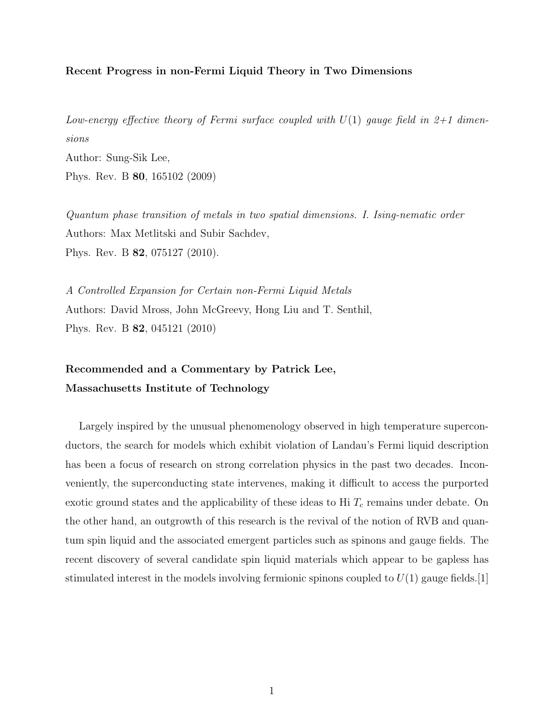## Recent Progress in non-Fermi Liquid Theory in Two Dimensions

Low-energy effective theory of Fermi surface coupled with  $U(1)$  gauge field in 2+1 dimensions Author: Sung-Sik Lee, Phys. Rev. B 80, 165102 (2009)

Quantum phase transition of metals in two spatial dimensions. I. Ising-nematic order Authors: Max Metlitski and Subir Sachdev, Phys. Rev. B 82, 075127 (2010).

A Controlled Expansion for Certain non-Fermi Liquid Metals Authors: David Mross, John McGreevy, Hong Liu and T. Senthil, Phys. Rev. B 82, 045121 (2010)

## Recommended and a Commentary by Patrick Lee, Massachusetts Institute of Technology

Largely inspired by the unusual phenomenology observed in high temperature superconductors, the search for models which exhibit violation of Landau's Fermi liquid description has been a focus of research on strong correlation physics in the past two decades. Inconveniently, the superconducting state intervenes, making it difficult to access the purported exotic ground states and the applicability of these ideas to Hi  $T_c$  remains under debate. On the other hand, an outgrowth of this research is the revival of the notion of RVB and quantum spin liquid and the associated emergent particles such as spinons and gauge fields. The recent discovery of several candidate spin liquid materials which appear to be gapless has stimulated interest in the models involving fermionic spinons coupled to  $U(1)$  gauge fields. [1]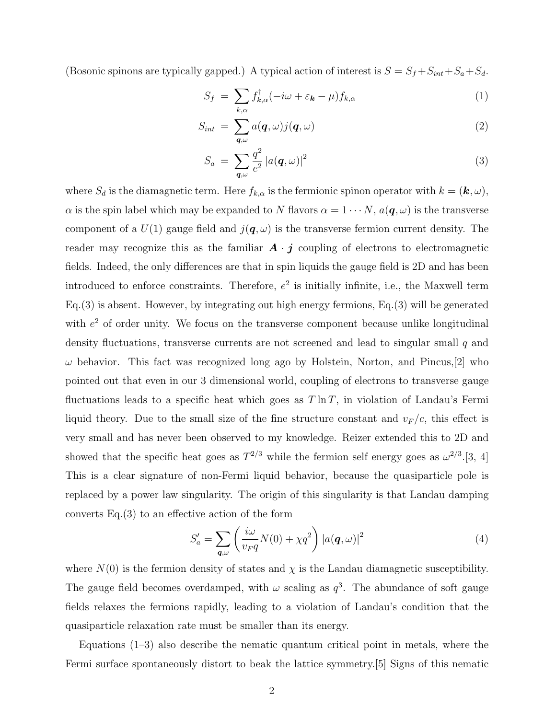(Bosonic spinons are typically gapped.) A typical action of interest is  $S = S_f + S_{int} + S_a + S_d$ .

$$
S_f = \sum_{k,\alpha} f_{k,\alpha}^{\dagger}(-i\omega + \varepsilon_{\mathbf{k}} - \mu) f_{k,\alpha} \tag{1}
$$

$$
S_{int} = \sum_{\mathbf{q}, \omega} a(\mathbf{q}, \omega) j(\mathbf{q}, \omega) \tag{2}
$$

$$
S_a = \sum_{\mathbf{q},\omega} \frac{q^2}{e^2} |a(\mathbf{q}, \omega)|^2 \tag{3}
$$

where  $S_d$  is the diamagnetic term. Here  $f_{k,\alpha}$  is the fermionic spinon operator with  $k = (\mathbf{k}, \omega)$ ,  $\alpha$  is the spin label which may be expanded to N flavors  $\alpha = 1 \cdots N$ ,  $a(q, \omega)$  is the transverse component of a  $U(1)$  gauge field and  $j(\boldsymbol{q},\omega)$  is the transverse fermion current density. The reader may recognize this as the familiar  $\mathbf{A} \cdot \mathbf{j}$  coupling of electrons to electromagnetic fields. Indeed, the only differences are that in spin liquids the gauge field is 2D and has been introduced to enforce constraints. Therefore,  $e^2$  is initially infinite, i.e., the Maxwell term Eq.(3) is absent. However, by integrating out high energy fermions, Eq.(3) will be generated with  $e<sup>2</sup>$  of order unity. We focus on the transverse component because unlike longitudinal density fluctuations, transverse currents are not screened and lead to singular small q and  $\omega$  behavior. This fact was recognized long ago by Holstein, Norton, and Pincus, [2] who pointed out that even in our 3 dimensional world, coupling of electrons to transverse gauge fluctuations leads to a specific heat which goes as  $T \ln T$ , in violation of Landau's Fermi liquid theory. Due to the small size of the fine structure constant and  $v_F/c$ , this effect is very small and has never been observed to my knowledge. Reizer extended this to 2D and showed that the specific heat goes as  $T^{2/3}$  while the fermion self energy goes as  $\omega^{2/3}$ .[3, 4] This is a clear signature of non-Fermi liquid behavior, because the quasiparticle pole is replaced by a power law singularity. The origin of this singularity is that Landau damping converts Eq.(3) to an effective action of the form

$$
S'_a = \sum_{\mathbf{q},\omega} \left( \frac{i\omega}{v_F q} N(0) + \chi q^2 \right) |a(\mathbf{q}, \omega)|^2 \tag{4}
$$

where  $N(0)$  is the fermion density of states and  $\chi$  is the Landau diamagnetic susceptibility. The gauge field becomes overdamped, with  $\omega$  scaling as  $q^3$ . The abundance of soft gauge fields relaxes the fermions rapidly, leading to a violation of Landau's condition that the quasiparticle relaxation rate must be smaller than its energy.

Equations  $(1-3)$  also describe the nematic quantum critical point in metals, where the Fermi surface spontaneously distort to beak the lattice symmetry.[5] Signs of this nematic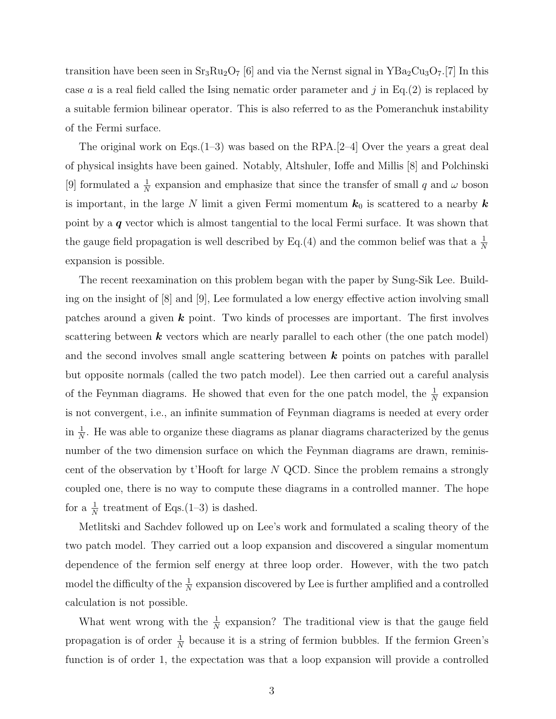transition have been seen in  $Sr_3Ru_2O_7$  [6] and via the Nernst signal in  $YBa_2Cu_3O_7$ .[7] In this case a is a real field called the Ising nematic order parameter and  $j$  in Eq.(2) is replaced by a suitable fermion bilinear operator. This is also referred to as the Pomeranchuk instability of the Fermi surface.

The original work on Eqs.  $(1-3)$  was based on the RPA.  $[2-4]$  Over the years a great deal of physical insights have been gained. Notably, Altshuler, Ioffe and Millis [8] and Polchinski [9] formulated a  $\frac{1}{N}$  expansion and emphasize that since the transfer of small q and  $\omega$  boson is important, in the large N limit a given Fermi momentum  $k_0$  is scattered to a nearby  $k$ point by a *q* vector which is almost tangential to the local Fermi surface. It was shown that the gauge field propagation is well described by Eq.(4) and the common belief was that a  $\frac{1}{N}$ expansion is possible.

The recent reexamination on this problem began with the paper by Sung-Sik Lee. Building on the insight of [8] and [9], Lee formulated a low energy effective action involving small patches around a given *k* point. Two kinds of processes are important. The first involves scattering between *k* vectors which are nearly parallel to each other (the one patch model) and the second involves small angle scattering between *k* points on patches with parallel but opposite normals (called the two patch model). Lee then carried out a careful analysis of the Feynman diagrams. He showed that even for the one patch model, the  $\frac{1}{N}$  expansion is not convergent, i.e., an infinite summation of Feynman diagrams is needed at every order in  $\frac{1}{N}$ . He was able to organize these diagrams as planar diagrams characterized by the genus number of the two dimension surface on which the Feynman diagrams are drawn, reminiscent of the observation by t'Hooft for large  $N$  QCD. Since the problem remains a strongly coupled one, there is no way to compute these diagrams in a controlled manner. The hope for a  $\frac{1}{N}$  treatment of Eqs.(1–3) is dashed.

Metlitski and Sachdev followed up on Lee's work and formulated a scaling theory of the two patch model. They carried out a loop expansion and discovered a singular momentum dependence of the fermion self energy at three loop order. However, with the two patch model the difficulty of the  $\frac{1}{N}$  expansion discovered by Lee is further amplified and a controlled calculation is not possible.

What went wrong with the  $\frac{1}{N}$  expansion? The traditional view is that the gauge field propagation is of order  $\frac{1}{N}$  because it is a string of fermion bubbles. If the fermion Green's function is of order 1, the expectation was that a loop expansion will provide a controlled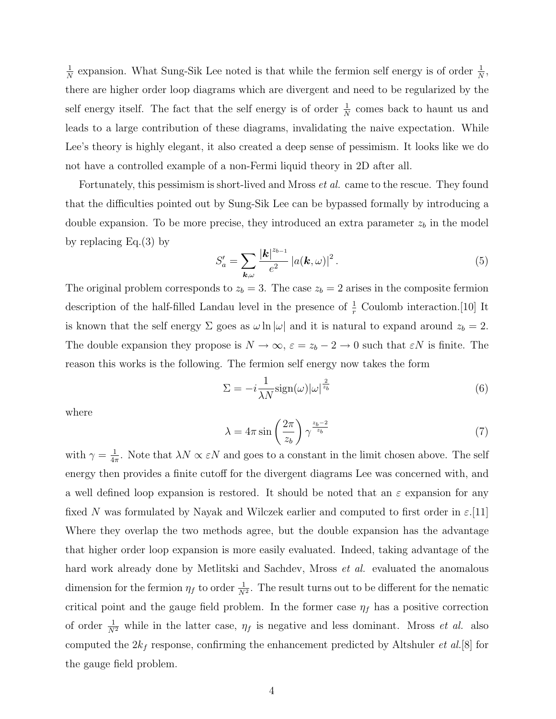$\frac{1}{N}$  expansion. What Sung-Sik Lee noted is that while the fermion self energy is of order  $\frac{1}{N}$ , there are higher order loop diagrams which are divergent and need to be regularized by the self energy itself. The fact that the self energy is of order  $\frac{1}{N}$  comes back to haunt us and leads to a large contribution of these diagrams, invalidating the naive expectation. While Lee's theory is highly elegant, it also created a deep sense of pessimism. It looks like we do not have a controlled example of a non-Fermi liquid theory in 2D after all.

Fortunately, this pessimism is short-lived and Mross et al. came to the rescue. They found that the difficulties pointed out by Sung-Sik Lee can be bypassed formally by introducing a double expansion. To be more precise, they introduced an extra parameter  $z<sub>b</sub>$  in the model by replacing Eq.(3) by

$$
S'_a = \sum_{\mathbf{k},\omega} \frac{|\mathbf{k}|^{z_{b-1}}}{e^2} |a(\mathbf{k},\omega)|^2.
$$
 (5)

The original problem corresponds to  $z_b = 3$ . The case  $z_b = 2$  arises in the composite fermion description of the half-filled Landau level in the presence of  $\frac{1}{r}$  Coulomb interaction. [10] It is known that the self energy  $\Sigma$  goes as  $\omega \ln |\omega|$  and it is natural to expand around  $z_b = 2$ . The double expansion they propose is  $N \to \infty$ ,  $\varepsilon = z_b - 2 \to 0$  such that  $\varepsilon N$  is finite. The reason this works is the following. The fermion self energy now takes the form

$$
\Sigma = -i\frac{1}{\lambda N} \text{sign}(\omega) |\omega|^{\frac{2}{z_b}} \tag{6}
$$

where

$$
\lambda = 4\pi \sin\left(\frac{2\pi}{z_b}\right) \gamma^{\frac{z_b - 2}{z_b}} \tag{7}
$$

with  $\gamma = \frac{1}{4\pi}$ . Note that  $\lambda N \propto \varepsilon N$  and goes to a constant in the limit chosen above. The self energy then provides a finite cutoff for the divergent diagrams Lee was concerned with, and a well defined loop expansion is restored. It should be noted that an  $\varepsilon$  expansion for any fixed N was formulated by Nayak and Wilczek earlier and computed to first order in  $\varepsilon$ .[11] Where they overlap the two methods agree, but the double expansion has the advantage that higher order loop expansion is more easily evaluated. Indeed, taking advantage of the hard work already done by Metlitski and Sachdev, Mross *et al.* evaluated the anomalous dimension for the fermion  $\eta_f$  to order  $\frac{1}{N^2}$ . The result turns out to be different for the nematic critical point and the gauge field problem. In the former case  $\eta_f$  has a positive correction of order  $\frac{1}{N^2}$  while in the latter case,  $\eta_f$  is negative and less dominant. Mross *et al.* also computed the  $2k_f$  response, confirming the enhancement predicted by Altshuler *et al.*[8] for the gauge field problem.